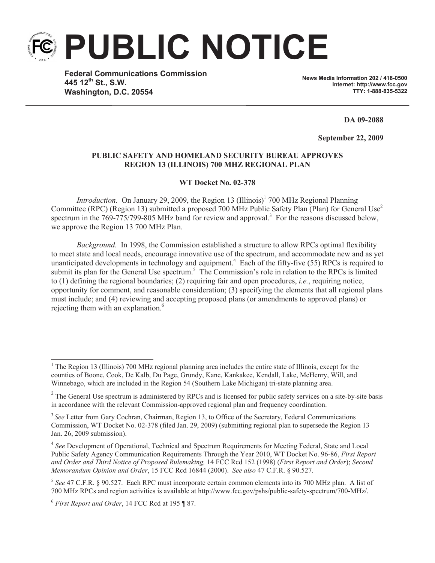

**Federal Communications Commission 445 12th St., S.W. Washington, D.C. 20554**

**News Media Information 202 / 418-0500 Internet: http://www.fcc.gov TTY: 1-888-835-5322**

**DA 09-2088**

**September 22, 2009** 

## **PUBLIC SAFETY AND HOMELAND SECURITY BUREAU APPROVES REGION 13 (ILLINOIS) 700 MHZ REGIONAL PLAN**

## **WT Docket No. 02-378**

*Introduction*. On January 29, 2009, the Region 13 (Illinois)<sup>1</sup> 700 MHz Regional Planning Committee (RPC) (Region 13) submitted a proposed 700 MHz Public Safety Plan (Plan) for General Use<sup>2</sup> spectrum in the 769-775/799-805 MHz band for review and approval.<sup>3</sup> For the reasons discussed below, we approve the Region 13 700 MHz Plan.

*Background.* In 1998, the Commission established a structure to allow RPCs optimal flexibility to meet state and local needs, encourage innovative use of the spectrum, and accommodate new and as yet unanticipated developments in technology and equipment.<sup>4</sup> Each of the fifty-five (55) RPCs is required to submit its plan for the General Use spectrum.<sup>5</sup> The Commission's role in relation to the RPCs is limited to (1) defining the regional boundaries; (2) requiring fair and open procedures, *i.e.*, requiring notice, opportunity for comment, and reasonable consideration; (3) specifying the elements that all regional plans must include; and (4) reviewing and accepting proposed plans (or amendments to approved plans) or rejecting them with an explanation.<sup>6</sup>

<sup>&</sup>lt;sup>1</sup> The Region 13 (Illinois) 700 MHz regional planning area includes the entire state of Illinois, except for the counties of Boone, Cook, De Kalb, Du Page, Grundy, Kane, Kankakee, Kendall, Lake, McHenry, Will, and Winnebago, which are included in the Region 54 (Southern Lake Michigan) tri-state planning area.

 $2^2$  The General Use spectrum is administered by RPCs and is licensed for public safety services on a site-by-site basis in accordance with the relevant Commission-approved regional plan and frequency coordination.

<sup>&</sup>lt;sup>3</sup> See Letter from Gary Cochran, Chairman, Region 13, to Office of the Secretary, Federal Communications Commission, WT Docket No. 02-378 (filed Jan. 29, 2009) (submitting regional plan to supersede the Region 13 Jan. 26, 2009 submission).

<sup>&</sup>lt;sup>4</sup> See Development of Operational, Technical and Spectrum Requirements for Meeting Federal, State and Local Public Safety Agency Communication Requirements Through the Year 2010, WT Docket No. 96-86, *First Report and Order and Third Notice of Proposed Rulemaking,* 14 FCC Rcd 152 (1998) (*First Report and Order*); *Second Memorandum Opinion and Order*, 15 FCC Rcd 16844 (2000). *See also* 47 C.F.R. § 90.527.

<sup>5</sup> *See* 47 C.F.R. § 90.527. Each RPC must incorporate certain common elements into its 700 MHz plan. A list of 700 MHz RPCs and region activities is available at http://www.fcc.gov/pshs/public-safety-spectrum/700-MHz/.

<sup>6</sup> *First Report and Order*, 14 FCC Rcd at 195 ¶ 87.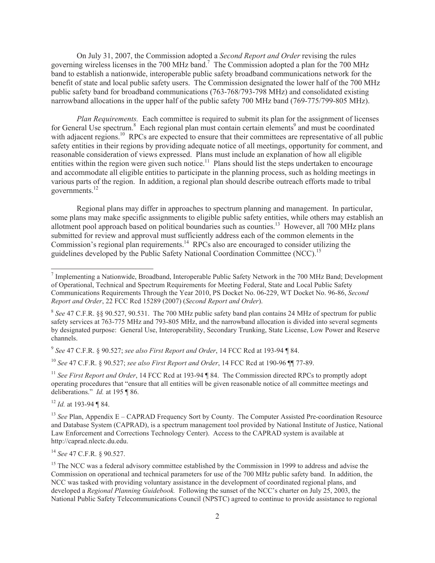On July 31, 2007, the Commission adopted a *Second Report and Order* revising the rules governing wireless licenses in the 700 MHz band.<sup>7</sup> The Commission adopted a plan for the 700 MHz band to establish a nationwide, interoperable public safety broadband communications network for the benefit of state and local public safety users. The Commission designated the lower half of the 700 MHz public safety band for broadband communications (763-768/793-798 MHz) and consolidated existing narrowband allocations in the upper half of the public safety 700 MHz band (769-775/799-805 MHz).

*Plan Requirements.* Each committee is required to submit its plan for the assignment of licenses for General Use spectrum.<sup>8</sup> Each regional plan must contain certain elements<sup>9</sup> and must be coordinated with adjacent regions.<sup>10</sup> RPCs are expected to ensure that their committees are representative of all public safety entities in their regions by providing adequate notice of all meetings, opportunity for comment, and reasonable consideration of views expressed. Plans must include an explanation of how all eligible entities within the region were given such notice.<sup>11</sup> Plans should list the steps undertaken to encourage and accommodate all eligible entities to participate in the planning process, such as holding meetings in various parts of the region. In addition, a regional plan should describe outreach efforts made to tribal governments.<sup>12</sup>

Regional plans may differ in approaches to spectrum planning and management. In particular, some plans may make specific assignments to eligible public safety entities, while others may establish an allotment pool approach based on political boundaries such as counties.<sup>13</sup> However, all 700 MHz plans submitted for review and approval must sufficiently address each of the common elements in the Commission's regional plan requirements.<sup>14</sup> RPCs also are encouraged to consider utilizing the guidelines developed by the Public Safety National Coordination Committee (NCC).<sup>15</sup>

9 *See* 47 C.F.R. § 90.527; *see also First Report and Order*, 14 FCC Rcd at 193-94 ¶ 84.

<sup>10</sup> *See* 47 C.F.R. § 90.527; *see also First Report and Order*, 14 FCC Rcd at 190-96 ¶¶ 77-89.

<sup>11</sup> See First Report and Order, 14 FCC Rcd at 193-94 ¶ 84. The Commission directed RPCs to promptly adopt operating procedures that "ensure that all entities will be given reasonable notice of all committee meetings and deliberations." *Id.* at 195 ¶ 86.

<sup>12</sup> *Id.* at 193-94 ¶ 84.

<sup>14</sup> *See* 47 C.F.R. § 90.527.

<sup>&</sup>lt;sup>7</sup> Implementing a Nationwide, Broadband, Interoperable Public Safety Network in the 700 MHz Band; Development of Operational, Technical and Spectrum Requirements for Meeting Federal, State and Local Public Safety Communications Requirements Through the Year 2010, PS Docket No. 06-229, WT Docket No. 96-86, *Second Report and Order*, 22 FCC Rcd 15289 (2007) (*Second Report and Order*).

<sup>&</sup>lt;sup>8</sup> See 47 C.F.R. §§ 90.527, 90.531. The 700 MHz public safety band plan contains 24 MHz of spectrum for public safety services at 763-775 MHz and 793-805 MHz, and the narrowband allocation is divided into several segments by designated purpose: General Use, Interoperability, Secondary Trunking, State License, Low Power and Reserve channels.

<sup>&</sup>lt;sup>13</sup> *See* Plan, Appendix  $E - CAPRAD$  Frequency Sort by County. The Computer Assisted Pre-coordination Resource and Database System (CAPRAD), is a spectrum management tool provided by National Institute of Justice, National Law Enforcement and Corrections Technology Center). Access to the CAPRAD system is available at http://caprad.nlectc.du.edu.

<sup>&</sup>lt;sup>15</sup> The NCC was a federal advisory committee established by the Commission in 1999 to address and advise the Commission on operational and technical parameters for use of the 700 MHz public safety band. In addition, the NCC was tasked with providing voluntary assistance in the development of coordinated regional plans, and developed a *Regional Planning Guidebook.* Following the sunset of the NCC's charter on July 25, 2003, the National Public Safety Telecommunications Council (NPSTC) agreed to continue to provide assistance to regional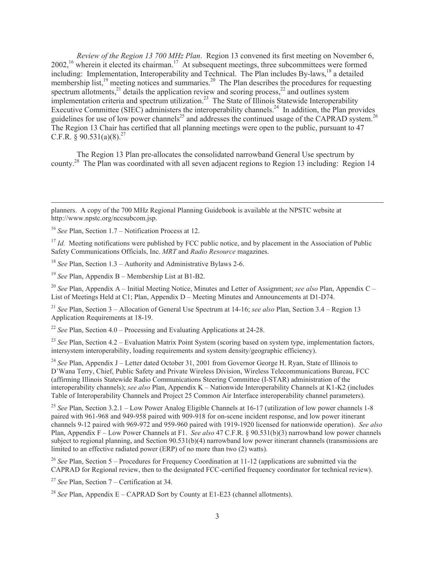*Review of the Region 13 700 MHz Plan*. Region 13 convened its first meeting on November 6, 2002,<sup>16</sup> wherein it elected its chairman.<sup>17</sup> At subsequent meetings, three subcommittees were formed including: Implementation, Interoperability and Technical. The Plan includes By-laws,<sup>18</sup> a detailed membership list,<sup>19</sup> meeting notices and summaries.<sup>20</sup> The Plan describes the procedures for requesting spectrum allotments,<sup>21</sup> details the application review and scoring process,<sup>22</sup> and outlines system implementation criteria and spectrum utilization.<sup>23</sup> The State of Illinois Statewide Interoperability Executive Committee (SIEC) administers the interoperability channels.<sup>24</sup> In addition, the Plan provides guidelines for use of low power channels<sup>25</sup> and addresses the continued usage of the CAPRAD system.<sup>26</sup> The Region 13 Chair has certified that all planning meetings were open to the public, pursuant to 47 C.F.R.  $\&$  90.531(a)(8).<sup>27</sup>

The Region 13 Plan pre-allocates the consolidated narrowband General Use spectrum by county.<sup>28</sup> The Plan was coordinated with all seven adjacent regions to Region 13 including: Region 14

<sup>17</sup> *Id.* Meeting notifications were published by FCC public notice, and by placement in the Association of Public Safety Communications Officials, Inc. *MRT* and *Radio Resource* magazines.

<sup>18</sup> *See* Plan, Section 1.3 – Authority and Administrative Bylaws 2-6.

<sup>19</sup> *See* Plan, Appendix B – Membership List at B1-B2.

<sup>20</sup> *See* Plan, Appendix A – Initial Meeting Notice, Minutes and Letter of Assignment; *see also* Plan, Appendix C – List of Meetings Held at C1; Plan, Appendix D – Meeting Minutes and Announcements at D1-D74.

<sup>21</sup> *See* Plan, Section 3 – Allocation of General Use Spectrum at 14-16; *see also* Plan, Section 3.4 – Region 13 Application Requirements at 18-19.

<sup>22</sup> *See* Plan, Section 4.0 – Processing and Evaluating Applications at 24-28.

<sup>23</sup> *See* Plan, Section 4.2 – Evaluation Matrix Point System (scoring based on system type, implementation factors, intersystem interoperability, loading requirements and system density/geographic efficiency).

<sup>24</sup> See Plan, Appendix J – Letter dated October 31, 2001 from Governor George H. Ryan, State of Illinois to D'Wana Terry, Chief, Public Safety and Private Wireless Division, Wireless Telecommunications Bureau, FCC (affirming Illinois Statewide Radio Communications Steering Committee (I-STAR) administration of the interoperability channels); *see also* Plan, Appendix K – Nationwide Interoperability Channels at K1-K2 (includes Table of Interoperability Channels and Project 25 Common Air Interface interoperability channel parameters).

<sup>25</sup> See Plan, Section 3.2.1 – Low Power Analog Eligible Channels at 16-17 (utilization of low power channels 1-8 paired with 961-968 and 949-958 paired with 909-918 for on-scene incident response, and low power itinerant channels 9-12 paired with 969-972 and 959-960 paired with 1919-1920 licensed for nationwide operation). *See also*  Plan, Appendix F – Low Power Channels at F1. *See also* 47 C.F.R. § 90.531(b)(3) narrowband low power channels subject to regional planning, and Section 90.531(b)(4) narrowband low power itinerant channels (transmissions are limited to an effective radiated power (ERP) of no more than two (2) watts).

<sup>26</sup> See Plan, Section 5 – Procedures for Frequency Coordination at 11-12 (applications are submitted via the CAPRAD for Regional review, then to the designated FCC-certified frequency coordinator for technical review).

<sup>27</sup> *See* Plan, Section 7 – Certification at 34.

planners. A copy of the 700 MHz Regional Planning Guidebook is available at the NPSTC website at http://www.npstc.org/nccsubcom.jsp.

<sup>16</sup> *See* Plan, Section 1.7 – Notification Process at 12.

<sup>&</sup>lt;sup>28</sup> *See* Plan, Appendix  $E - CAPRAD$  Sort by County at  $E1-E23$  (channel allotments).